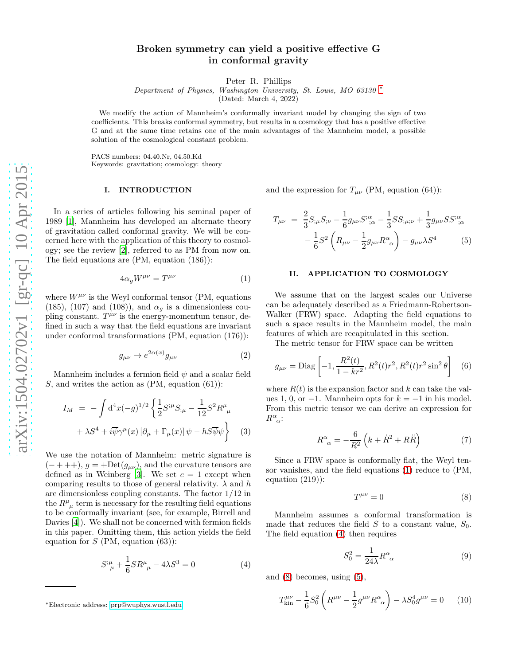# Broken symmetry can yield a positive effective G in conformal gravity

Peter R. Phillips

Department of Physics, Washington University, St. Louis, MO 63130 [∗](#page-0-0)

(Dated: March 4, 2022)

We modify the action of Mannheim's conformally invariant model by changing the sign of two coefficients. This breaks conformal symmetry, but results in a cosmology that has a positive effective G and at the same time retains one of the main advantages of the Mannheim model, a possible solution of the cosmological constant problem.

PACS numbers: 04.40.Nr, 04.50.Kd Keywords: gravitation; cosmology: theory

#### I. INTRODUCTION

In a series of articles following his seminal paper of 1989 [\[1](#page-3-0)], Mannheim has developed an alternate theory of gravitation called conformal gravity. We will be concerned here with the application of this theory to cosmology; see the review [\[2](#page-3-1)], referred to as PM from now on. The field equations are (PM, equation (186)):

<span id="page-0-1"></span>
$$
4\alpha_g W^{\mu\nu} = T^{\mu\nu} \tag{1}
$$

where  $W^{\mu\nu}$  is the Weyl conformal tensor (PM, equations (185), (107) and (108)), and  $\alpha_q$  is a dimensionless coupling constant.  $T^{\mu\nu}$  is the energy-momentum tensor, defined in such a way that the field equations are invariant under conformal transformations (PM, equation (176)):

$$
g_{\mu\nu} \to e^{2\alpha(x)} g_{\mu\nu} \tag{2}
$$

Mannheim includes a fermion field  $\psi$  and a scalar field S, and writes the action as  $(PM, equation (61))$ :

<span id="page-0-6"></span>
$$
I_M = -\int d^4x (-g)^{1/2} \left\{ \frac{1}{2} S^{;\mu} S_{;\mu} - \frac{1}{12} S^2 R^{\mu}_{\ \mu} + \lambda S^4 + i \overline{\psi} \gamma^{\mu}(x) \left[ \partial_{\mu} + \Gamma_{\mu}(x) \right] \psi - h S \overline{\psi} \psi \right\} \quad (3)
$$

We use the notation of Mannheim: metric signature is  $(- + + +), g = +Det(g_{\mu\nu})$ , and the curvature tensors are defined as in Weinberg [\[3\]](#page-3-2). We set  $c = 1$  except when comparing results to those of general relativity.  $\lambda$  and h are dimensionless coupling constants. The factor 1/12 in the  $R^{\mu}_{\ \mu}$  term is necessary for the resulting field equations to be conformally invariant (see, for example, Birrell and Davies [\[4\]](#page-3-3)). We shall not be concerned with fermion fields in this paper. Omitting them, this action yields the field equation for  $S$  (PM, equation (63)):

<span id="page-0-2"></span>
$$
S^{\mu}_{\ \mu} + \frac{1}{6}SR^{\mu}_{\ \mu} - 4\lambda S^3 = 0 \tag{4}
$$

and the expression for  $T_{\mu\nu}$  (PM, equation (64)):

<span id="page-0-4"></span>
$$
T_{\mu\nu} = \frac{2}{3} S_{;\mu} S_{;\nu} - \frac{1}{6} g_{\mu\nu} S^{;\alpha}_{;\alpha} - \frac{1}{3} S S_{;\mu;\nu} + \frac{1}{3} g_{\mu\nu} S S^{;\alpha}_{;\alpha} - \frac{1}{6} S^2 \left( R_{\mu\nu} - \frac{1}{2} g_{\mu\nu} R^{\alpha}_{\ \alpha} \right) - g_{\mu\nu} \lambda S^4 \tag{5}
$$

### II. APPLICATION TO COSMOLOGY

We assume that on the largest scales our Universe can be adequately described as a Friedmann-Robertson-Walker (FRW) space. Adapting the field equations to such a space results in the Mannheim model, the main features of which are recapitulated in this section.

The metric tensor for FRW space can be written

$$
g_{\mu\nu} = \text{Diag}\left[-1, \frac{R^2(t)}{1 - kr^2}, R^2(t)r^2, R^2(t)r^2\sin^2\theta\right] \quad (6)
$$

where  $R(t)$  is the expansion factor and k can take the values 1, 0, or  $-1$ . Mannheim opts for  $k = -1$  in his model. From this metric tensor we can derive an expression for  $R^{\alpha}_{\ \alpha}$ :

<span id="page-0-7"></span>
$$
R^{\alpha}_{\ \alpha} = -\frac{6}{R^2} \left( k + \dot{R}^2 + R\ddot{R} \right) \tag{7}
$$

Since a FRW space is conformally flat, the Weyl tensor vanishes, and the field equations [\(1\)](#page-0-1) reduce to (PM, equation (219)):

<span id="page-0-3"></span>
$$
T^{\mu\nu} = 0 \tag{8}
$$

Mannheim assumes a conformal transformation is made that reduces the field S to a constant value,  $S_0$ . The field equation [\(4\)](#page-0-2) then requires

$$
S_0^2 = \frac{1}{24\lambda} R^{\alpha}_{\ \alpha} \tag{9}
$$

and [\(8\)](#page-0-3) becomes, using [\(5\)](#page-0-4),

<span id="page-0-5"></span>
$$
T^{\mu\nu}_{\text{kin}} - \frac{1}{6}S_0^2 \left( R^{\mu\nu} - \frac{1}{2}g^{\mu\nu} R^{\alpha}_{\ \alpha} \right) - \lambda S_0^4 g^{\mu\nu} = 0 \tag{10}
$$

<span id="page-0-0"></span><sup>∗</sup>Electronic address: [prp@wuphys.wustl.edu](mailto:prp@wuphys.wustl.edu)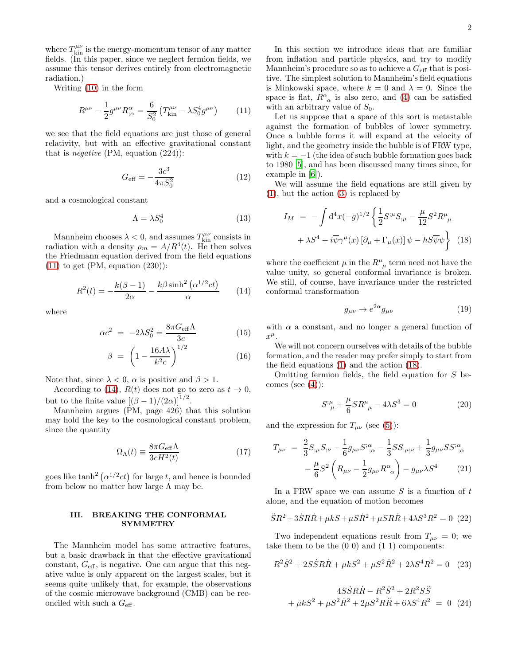where  $T^{\mu\nu}_{\rm kin}$  is the energy-momentum tensor of any matter fields. (In this paper, since we neglect fermion fields, we assume this tensor derives entirely from electromagnetic radiation.)

Writing [\(10\)](#page-0-5) in the form

<span id="page-1-0"></span>
$$
R^{\mu\nu} - \frac{1}{2}g^{\mu\nu}R^{\alpha}_{;\alpha} = \frac{6}{S_0^2} \left( T^{\mu\nu}_{\text{kin}} - \lambda S_0^4 g^{\mu\nu} \right) \tag{11}
$$

we see that the field equations are just those of general relativity, but with an effective gravitational constant that is *negative* (PM, equation  $(224)$ ):

$$
G_{\text{eff}} = -\frac{3c^3}{4\pi S_0^2} \tag{12}
$$

and a cosmological constant

$$
\Lambda = \lambda S_0^4 \tag{13}
$$

Mannheim chooses  $\lambda < 0$ , and assumes  $T^{\mu\nu}_{\text{kin}}$  consists in radiation with a density  $\rho_m = A/R^4(t)$ . He then solves the Friedmann equation derived from the field equations  $(11)$  to get (PM, equation  $(230)$ ):

<span id="page-1-1"></span>
$$
R^{2}(t) = -\frac{k(\beta - 1)}{2\alpha} - \frac{k\beta \sinh^{2}\left(\alpha^{1/2}ct\right)}{\alpha} \qquad (14)
$$

where

$$
\alpha c^2 = -2\lambda S_0^2 = \frac{8\pi G_{\text{eff}}\Lambda}{3c} \tag{15}
$$

$$
\beta = \left(1 - \frac{16A\lambda}{k^2 c}\right)^{1/2} \tag{16}
$$

Note that, since  $\lambda < 0$ ,  $\alpha$  is positive and  $\beta > 1$ .

According to [\(14\)](#page-1-1),  $R(t)$  does not go to zero as  $t \to 0$ , but to the finite value  $[(\beta - 1)/(2\alpha)]^{1/2}$ .

Mannheim argues (PM, page 426) that this solution may hold the key to the cosmological constant problem, since the quantity

$$
\overline{\Omega}_{\Lambda}(t) \equiv \frac{8\pi G_{\text{eff}}\Lambda}{3cH^2(t)}\tag{17}
$$

goes like  $\tanh^2(\alpha^{1/2}ct)$  for large t, and hence is bounded from below no matter how large  $\Lambda$  may be.

## III. BREAKING THE CONFORMAL **SYMMETRY**

The Mannheim model has some attractive features, but a basic drawback in that the effective gravitational constant,  $G_{\text{eff}}$ , is negative. One can argue that this negative value is only apparent on the largest scales, but it seems quite unlikely that, for example, the observations of the cosmic microwave background (CMB) can be reconciled with such a  $G_{\text{eff}}$ .

In this section we introduce ideas that are familiar from inflation and particle physics, and try to modify Mannheim's procedure so as to achieve a  $G_{\text{eff}}$  that is positive. The simplest solution to Mannheim's field equations is Minkowski space, where  $k = 0$  and  $\lambda = 0$ . Since the space is flat,  $R^{\alpha}_{\ \alpha}$  is also zero, and [\(4\)](#page-0-2) can be satisfied with an arbitrary value of  $S_0$ .

Let us suppose that a space of this sort is metastable against the formation of bubbles of lower symmetry. Once a bubble forms it will expand at the velocity of light, and the geometry inside the bubble is of FRW type, with  $k = -1$  (the idea of such bubble formation goes back to 1980 [\[5](#page-3-4)], and has been discussed many times since, for example in [\[6](#page-3-5)]).

We will assume the field equations are still given by [\(1\)](#page-0-1), but the action [\(3\)](#page-0-6) is replaced by

<span id="page-1-2"></span>
$$
I_M = -\int d^4x (-g)^{1/2} \left\{ \frac{1}{2} S^{;\mu} S_{;\mu} - \frac{\mu}{12} S^2 R^{\mu}_{\ \mu} + \lambda S^4 + i \overline{\psi} \gamma^{\mu}(x) \left[ \partial_{\mu} + \Gamma_{\mu}(x) \right] \psi - h S \overline{\psi} \psi \right\} (18)
$$

where the coefficient  $\mu$  in the  $R^{\mu}_{\mu}$  term need not have the value unity, so general conformal invariance is broken. We still, of course, have invariance under the restricted conformal transformation

$$
g_{\mu\nu} \to e^{2\alpha} g_{\mu\nu} \tag{19}
$$

with  $\alpha$  a constant, and no longer a general function of  $x^{\mu}$ .

We will not concern ourselves with details of the bubble formation, and the reader may prefer simply to start from the field equations [\(1\)](#page-0-1) and the action [\(18\)](#page-1-2).

Omitting fermion fields, the field equation for S becomes (see  $(4)$ ):

<span id="page-1-6"></span>
$$
S^{\mu}_{\ \mu} + \frac{\mu}{6} S R^{\mu}_{\ \mu} - 4\lambda S^3 = 0 \tag{20}
$$

and the expression for  $T_{\mu\nu}$  (see [\(5\)](#page-0-4)):

$$
T_{\mu\nu} = \frac{2}{3} S_{;\mu} S_{;\nu} - \frac{1}{6} g_{\mu\nu} S^{;\alpha}_{;\alpha} - \frac{1}{3} S S_{;\mu;\nu} + \frac{1}{3} g_{\mu\nu} S S^{;\alpha}_{;\alpha} - \frac{\mu}{6} S^2 \left( R_{\mu\nu} - \frac{1}{2} g_{\mu\nu} R^{\alpha}_{\alpha} \right) - g_{\mu\nu} \lambda S^4 \tag{21}
$$

In a FRW space we can assume  $S$  is a function of  $t$ alone, and the equation of motion becomes

<span id="page-1-4"></span>
$$
\ddot{S}R^2 + 3\dot{S}R\dot{R} + \mu kS + \mu S\dot{R}^2 + \mu SR\ddot{R} + 4\lambda S^3 R^2 = 0
$$
 (22)

Two independent equations result from  $T_{\mu\nu} = 0$ ; we take them to be the  $(0 0)$  and  $(1 1)$  components:

<span id="page-1-3"></span>
$$
R^2\dot{S}^2 + 2S\dot{S}R\dot{R} + \mu kS^2 + \mu S^2\dot{R}^2 + 2\lambda S^4R^2 = 0
$$
 (23)

<span id="page-1-5"></span>
$$
4S\dot{S}R\dot{R} - R^2\dot{S}^2 + 2R^2S\ddot{S}
$$
  
+  $\mu kS^2 + \mu S^2\dot{R}^2 + 2\mu S^2R\ddot{R} + 6\lambda S^4R^2 = 0$  (24)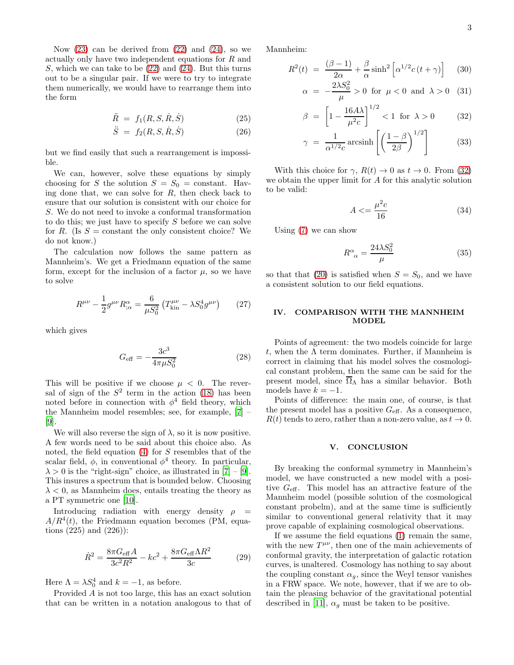Now  $(23)$  can be derived from  $(22)$  and  $(24)$ , so we actually only have two independent equations for R and S, which we can take to be  $(22)$  and  $(24)$ . But this turns out to be a singular pair. If we were to try to integrate them numerically, we would have to rearrange them into the form

$$
\ddot{R} = f_1(R, S, \dot{R}, \dot{S}) \tag{25}
$$

$$
\ddot{S} = f_2(R, S, \dot{R}, \dot{S}) \tag{26}
$$

but we find easily that such a rearrangement is impossible.

We can, however, solve these equations by simply choosing for S the solution  $S = S_0 = constant$ . Having done that, we can solve for  $R$ , then check back to ensure that our solution is consistent with our choice for S. We do not need to invoke a conformal transformation to do this; we just have to specify  $S$  before we can solve for R. (Is  $S =$  constant the only consistent choice? We do not know.)

The calculation now follows the same pattern as Mannheim's. We get a Friedmann equation of the same form, except for the inclusion of a factor  $\mu$ , so we have to solve

$$
R^{\mu\nu} - \frac{1}{2} g^{\mu\nu} R^{\alpha}_{;\alpha} = \frac{6}{\mu S_0^2} \left( T^{\mu\nu}_{\text{kin}} - \lambda S_0^4 g^{\mu\nu} \right) \tag{27}
$$

which gives

$$
G_{\text{eff}} = -\frac{3c^3}{4\pi\mu S_0^2} \tag{28}
$$

This will be positive if we choose  $\mu < 0$ . The reversal of sign of the  $S^2$  term in the action [\(18\)](#page-1-2) has been noted before in connection with  $\phi^4$  field theory, which the Mannheim model resembles; see, for example, [\[7](#page-3-6)] – [\[9\]](#page-3-7).

We will also reverse the sign of  $\lambda$ , so it is now positive. A few words need to be said about this choice also. As noted, the field equation [\(4\)](#page-0-2) for S resembles that of the scalar field,  $\phi$ , in conventional  $\phi^4$  theory. In particular,  $\lambda > 0$  is the "right-sign" choice, as illustrated in [\[7](#page-3-6)] – [\[9\]](#page-3-7). This insures a spectrum that is bounded below. Choosing  $\lambda < 0$ , as Mannheim does, entails treating the theory as a PT symmetric one [\[10](#page-3-8)].

Introducing radiation with energy density  $\rho =$  $A/R<sup>4</sup>(t)$ , the Friedmann equation becomes (PM, equations (225) and (226)):

$$
\dot{R}^2 = \frac{8\pi G_{\text{eff}}A}{3c^2 R^2} - kc^2 + \frac{8\pi G_{\text{eff}}\Lambda R^2}{3c}
$$
 (29)

Here  $\Lambda = \lambda S_0^4$  and  $k = -1$ , as before.

Provided A is not too large, this has an exact solution that can be written in a notation analogous to that of Mannheim:

<span id="page-2-0"></span>
$$
R^{2}(t) = \frac{(\beta - 1)}{2\alpha} + \frac{\beta}{\alpha} \sinh^{2} \left[ \alpha^{1/2} c(t + \gamma) \right]
$$
 (30)

$$
\alpha = -\frac{2\lambda S_0^2}{\mu} > 0 \text{ for } \mu < 0 \text{ and } \lambda > 0 \quad (31)
$$

$$
\beta = \left[1 - \frac{16A\lambda}{\mu^2 c}\right]^{1/2} < 1 \text{ for } \lambda > 0 \tag{32}
$$

$$
\gamma = \frac{1}{\alpha^{1/2} c} \operatorname{arcsinh} \left[ \left( \frac{1 - \beta}{2\beta} \right)^{1/2} \right] \tag{33}
$$

With this choice for  $\gamma$ ,  $R(t) \to 0$  as  $t \to 0$ . From [\(32\)](#page-2-0) we obtain the upper limit for A for this analytic solution to be valid:

$$
A \leq \frac{\mu^2 c}{16} \tag{34}
$$

Using [\(7\)](#page-0-7) we can show

$$
R^{\alpha}_{\ \alpha} = \frac{24\lambda S_0^2}{\mu} \tag{35}
$$

so that that [\(20\)](#page-1-6) is satisfied when  $S = S_0$ , and we have a consistent solution to our field equations.

#### IV. COMPARISON WITH THE MANNHEIM MODEL

Points of agreement: the two models coincide for large t, when the  $\Lambda$  term dominates. Further, if Mannheim is correct in claiming that his model solves the cosmological constant problem, then the same can be said for the present model, since  $\overline{\Omega}_{\Lambda}$  has a similar behavior. Both models have  $k = -1$ .

Points of difference: the main one, of course, is that the present model has a positive  $G_{\text{eff}}$ . As a consequence,  $R(t)$  tends to zero, rather than a non-zero value, as  $t \to 0$ .

#### V. CONCLUSION

By breaking the conformal symmetry in Mannheim's model, we have constructed a new model with a positive  $G_{\text{eff}}$ . This model has an attractive feature of the Mannheim model (possible solution of the cosmological constant probelm), and at the same time is sufficiently similar to conventional general relativity that it may prove capable of explaining cosmological observations.

If we assume the field equations [\(1\)](#page-0-1) remain the same, with the new  $T^{\mu\nu}$ , then one of the main achievements of conformal gravity, the interpretation of galactic rotation curves, is unaltered. Cosmology has nothing to say about the coupling constant  $\alpha_g$ , since the Weyl tensor vanishes in a FRW space. We note, however, that if we are to obtain the pleasing behavior of the gravitational potential described in [\[11\]](#page-3-9),  $\alpha_g$  must be taken to be positive.